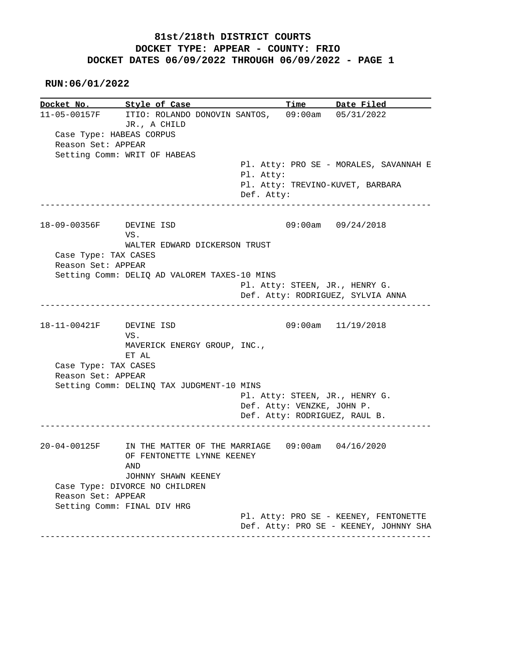#### **RUN:06/01/2022**

**Docket No. Style of Case Time Date Filed**  11-05-00157F ITIO: ROLANDO DONOVIN SANTOS, 09:00am 05/31/2022 JR., A CHILD Case Type: HABEAS CORPUS Reason Set: APPEAR Setting Comm: WRIT OF HABEAS Pl. Atty: PRO SE - MORALES, SAVANNAH E Pl. Atty: Pl. Atty: TREVINO-KUVET, BARBARA Def. Atty: ------------------------------------------------------------------------------ 18-09-00356F DEVINE ISD 09:00am 09/24/2018 VS. WALTER EDWARD DICKERSON TRUST Case Type: TAX CASES Reason Set: APPEAR Setting Comm: DELIQ AD VALOREM TAXES-10 MINS Pl. Atty: STEEN, JR., HENRY G. Def. Atty: RODRIGUEZ, SYLVIA ANNA ------------------------------------------------------------------------------ 18-11-00421F DEVINE ISD 09:00am 11/19/2018 VS. MAVERICK ENERGY GROUP, INC., ET AL Case Type: TAX CASES Reason Set: APPEAR Setting Comm: DELINQ TAX JUDGMENT-10 MINS Pl. Atty: STEEN, JR., HENRY G. Def. Atty: VENZKE, JOHN P. Def. Atty: RODRIGUEZ, RAUL B. ------------------------------------------------------------------------------ 20-04-00125F IN THE MATTER OF THE MARRIAGE 09:00am 04/16/2020 OF FENTONETTE LYNNE KEENEY AND JOHNNY SHAWN KEENEY Case Type: DIVORCE NO CHILDREN Reason Set: APPEAR Setting Comm: FINAL DIV HRG Pl. Atty: PRO SE - KEENEY, FENTONETTE Def. Atty: PRO SE - KEENEY, JOHNNY SHA ------------------------------------------------------------------------------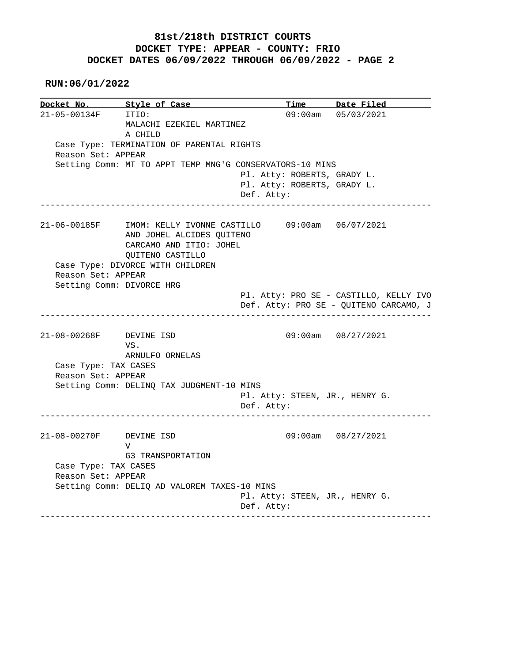#### **RUN:06/01/2022**

**Docket No. Style of Case Time Date Filed**  21-05-00134F ITIO: 09:00am 05/03/2021 MALACHI EZEKIEL MARTINEZ A CHILD Case Type: TERMINATION OF PARENTAL RIGHTS Reason Set: APPEAR Setting Comm: MT TO APPT TEMP MNG'G CONSERVATORS-10 MINS Pl. Atty: ROBERTS, GRADY L. Pl. Atty: ROBERTS, GRADY L. Def. Atty: ------------------------------------------------------------------------------ 21-06-00185F IMOM: KELLY IVONNE CASTILLO 09:00am 06/07/2021 AND JOHEL ALCIDES QUITENO CARCAMO AND ITIO: JOHEL QUITENO CASTILLO Case Type: DIVORCE WITH CHILDREN Reason Set: APPEAR Setting Comm: DIVORCE HRG Pl. Atty: PRO SE - CASTILLO, KELLY IVO Def. Atty: PRO SE - QUITENO CARCAMO, J ------------------------------------------------------------------------------ 21-08-00268F DEVINE ISD 09:00am 08/27/2021 VS. ARNULFO ORNELAS Case Type: TAX CASES Reason Set: APPEAR Setting Comm: DELINQ TAX JUDGMENT-10 MINS Pl. Atty: STEEN, JR., HENRY G. Def. Atty: ------------------------------------------------------------------------------ 21-08-00270F DEVINE ISD 09:00am 08/27/2021 V G3 TRANSPORTATION Case Type: TAX CASES Reason Set: APPEAR Setting Comm: DELIQ AD VALOREM TAXES-10 MINS Pl. Atty: STEEN, JR., HENRY G. Def. Atty: ------------------------------------------------------------------------------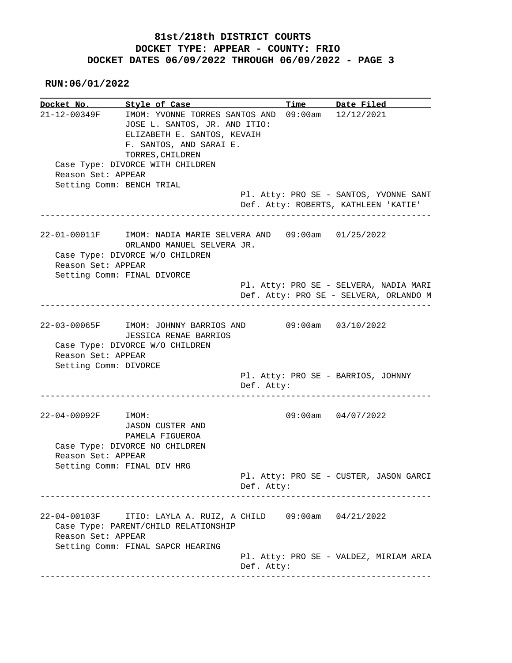**RUN:06/01/2022**

**Docket No. Style of Case Time Date Filed**  21-12-00349F IMOM: YVONNE TORRES SANTOS AND 09:00am 12/12/2021 JOSE L. SANTOS, JR. AND ITIO: ELIZABETH E. SANTOS, KEVAIH F. SANTOS, AND SARAI E. TORRES, CHILDREN Case Type: DIVORCE WITH CHILDREN Reason Set: APPEAR Setting Comm: BENCH TRIAL Pl. Atty: PRO SE - SANTOS, YVONNE SANT Def. Atty: ROBERTS, KATHLEEN 'KATIE' ------------------------------------------------------------------------------ 22-01-00011F IMOM: NADIA MARIE SELVERA AND 09:00am 01/25/2022 ORLANDO MANUEL SELVERA JR. Case Type: DIVORCE W/O CHILDREN Reason Set: APPEAR Setting Comm: FINAL DIVORCE Pl. Atty: PRO SE - SELVERA, NADIA MARI Def. Atty: PRO SE - SELVERA, ORLANDO M ------------------------------------------------------------------------------ 22-03-00065F IMOM: JOHNNY BARRIOS AND 09:00am 03/10/2022 JESSICA RENAE BARRIOS Case Type: DIVORCE W/O CHILDREN Reason Set: APPEAR Setting Comm: DIVORCE Pl. Atty: PRO SE - BARRIOS, JOHNNY Def. Atty: ------------------------------------------------------------------------------ 22-04-00092F IMOM: 09:00am 04/07/2022 JASON CUSTER AND PAMELA FIGUEROA Case Type: DIVORCE NO CHILDREN Reason Set: APPEAR Setting Comm: FINAL DIV HRG Pl. Atty: PRO SE - CUSTER, JASON GARCI Def. Atty: ------------------------------------------------------------------------------ 22-04-00103F ITIO: LAYLA A. RUIZ, A CHILD 09:00am 04/21/2022 Case Type: PARENT/CHILD RELATIONSHIP Reason Set: APPEAR Setting Comm: FINAL SAPCR HEARING Pl. Atty: PRO SE - VALDEZ, MIRIAM ARIA Def. Atty: ------------------------------------------------------------------------------